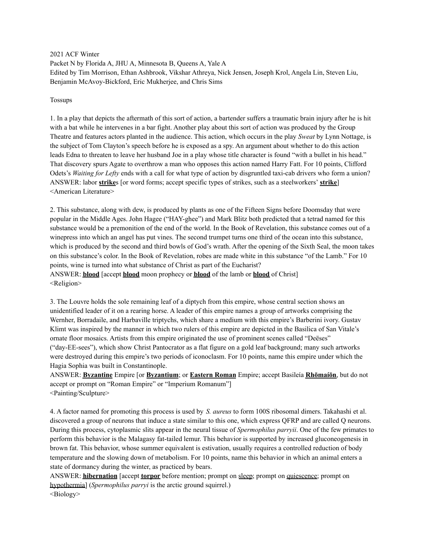2021 ACF Winter Packet N by Florida A, JHU A, Minnesota B, Queens A, Yale A Edited by Tim Morrison, Ethan Ashbrook, Vikshar Athreya, Nick Jensen, Joseph Krol, Angela Lin, Steven Liu, Benjamin McAvoy-Bickford, Eric Mukherjee, and Chris Sims

#### Tossups

1. In a play that depicts the aftermath of this sort of action, a bartender suffers a traumatic brain injury after he is hit with a bat while he intervenes in a bar fight. Another play about this sort of action was produced by the Group Theatre and features actors planted in the audience. This action, which occurs in the play *Sweat* by Lynn Nottage, is the subject of Tom Clayton's speech before he is exposed as a spy. An argument about whether to do this action leads Edna to threaten to leave her husband Joe in a play whose title character is found "with a bullet in his head." That discovery spurs Agate to overthrow a man who opposes this action named Harry Fatt. For 10 points, Clifford Odets's *Waiting for Lefty* ends with a call for what type of action by disgruntled taxi-cab drivers who form a union? ANSWER: labor **strike**s [or word forms; accept specific types of strikes, such as a steelworkers' **strike**] <American Literature>

2. This substance, along with dew, is produced by plants as one of the Fifteen Signs before Doomsday that were popular in the Middle Ages. John Hagee ("HAY-ghee") and Mark Blitz both predicted that a tetrad named for this substance would be a premonition of the end of the world. In the Book of Revelation, this substance comes out of a winepress into which an angel has put vines. The second trumpet turns one third of the ocean into this substance, which is produced by the second and third bowls of God's wrath. After the opening of the Sixth Seal, the moon takes on this substance's color. In the Book of Revelation, robes are made white in this substance "of the Lamb." For 10 points, wine is turned into what substance of Christ as part of the Eucharist? ANSWER: **blood** [accept **blood** moon prophecy or **blood** of the lamb or **blood** of Christ] <Religion>

3. The Louvre holds the sole remaining leaf of a diptych from this empire, whose central section shows an unidentified leader of it on a rearing horse. A leader of this empire names a group of artworks comprising the Wernher, Borradaile, and Harbaville triptychs, which share a medium with this empire's Barberini ivory. Gustav Klimt was inspired by the manner in which two rulers of this empire are depicted in the Basilica of San Vitale's ornate floor mosaics. Artists from this empire originated the use of prominent scenes called "Deëses" ("day-EE-sees"), which show Christ Pantocrator as a flat figure on a gold leaf background; many such artworks were destroyed during this empire's two periods of iconoclasm. For 10 points, name this empire under which the Hagia Sophia was built in Constantinople.

ANSWER: **Byzantine** Empire [or **Byzantium**; or **Eastern Roman** Empire; accept Basileía **Rhōmaíōn**, but do not accept or prompt on "Roman Empire" or "Imperium Romanum"] <Painting/Sculpture>

4. A factor named for promoting this process is used by *S. aureus* to form 100S ribosomal dimers. Takahashi et al. discovered a group of neurons that induce a state similar to this one, which express QFRP and are called Q neurons. During this process, cytoplasmic slits appear in the neural tissue of *Spermophilus parryii*. One of the few primates to perform this behavior is the Malagasy fat-tailed lemur. This behavior is supported by increased gluconeogenesis in brown fat. This behavior, whose summer equivalent is estivation, usually requires a controlled reduction of body temperature and the slowing down of metabolism. For 10 points, name this behavior in which an animal enters a state of dormancy during the winter, as practiced by bears.

ANSWER: **hibernation** [accept **torpor** before mention; prompt on sleep; prompt on <u>quiescence</u>; prompt on hypothermia] (*Spermophilus parryi* is the arctic ground squirrel.) <Biology>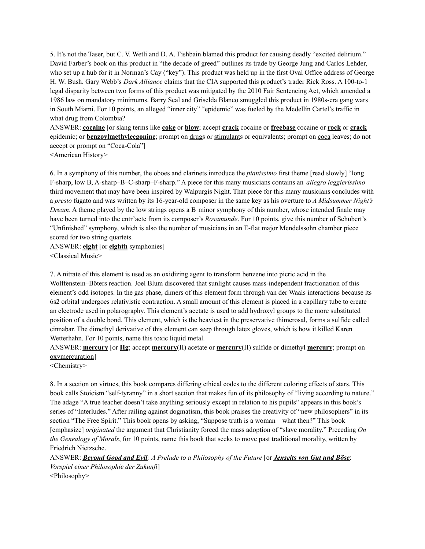5. It's not the Taser, but C. V. Wetli and D. A. Fishbain blamed this product for causing deadly "excited delirium." David Farber's book on this product in "the decade of greed" outlines its trade by George Jung and Carlos Lehder, who set up a hub for it in Norman's Cay ("key"). This product was held up in the first Oval Office address of George H. W. Bush. Gary Webb's *Dark Alliance* claims that the CIA supported this product's trader Rick Ross. A 100-to-1 legal disparity between two forms of this product was mitigated by the 2010 Fair Sentencing Act, which amended a 1986 law on mandatory minimums. Barry Seal and Griselda Blanco smuggled this product in 1980s-era gang wars in South Miami. For 10 points, an alleged "inner city" "epidemic" was fueled by the Medellín Cartel's traffic in what drug from Colombia?

ANSWER: **cocaine** [or slang terms like **coke** or **blow**; accept **crack** cocaine or **freebase** cocaine or **rock** or **crack** epidemic; or **benzoylmethylecgonine**; prompt on drugs or stimulants or equivalents; prompt on coca leaves; do not accept or prompt on "Coca-Cola"]

<American History>

6. In a symphony of this number, the oboes and clarinets introduce the *pianissimo* first theme [read slowly] "long F-sharp, low B, A-sharp–B–C-sharp–F-sharp." A piece for this many musicians contains an *allegro leggierissimo* third movement that may have been inspired by Walpurgis Night. That piece for this many musicians concludes with a *presto* fugato and was written by its 16-year-old composer in the same key as his overture to *A Midsummer Night's Dream*. A theme played by the low strings opens a B minor symphony of this number, whose intended finale may have been turned into the entr'acte from its composer's *Rosamunde*. For 10 points, give this number of Schubert's "Unfinished" symphony, which is also the number of musicians in an E-flat major Mendelssohn chamber piece scored for two string quartets.

ANSWER: **eight** [or **eighth** symphonies] <Classical Music>

7. A nitrate of this element is used as an oxidizing agent to transform benzene into picric acid in the Wolffenstein–Böters reaction. Joel Blum discovered that sunlight causes mass-independent fractionation of this element's odd isotopes. In the gas phase, dimers of this element form through van der Waals interactions because its 6s2 orbital undergoes relativistic contraction. A small amount of this element is placed in a capillary tube to create an electrode used in polarography. This element's acetate is used to add hydroxyl groups to the more substituted position of a double bond. This element, which is the heaviest in the preservative thimerosal, forms a sulfide called cinnabar. The dimethyl derivative of this element can seep through latex gloves, which is how it killed Karen Wetterhahn. For 10 points, name this toxic liquid metal.

ANSWER: **mercury** [or **Hg**; accept **mercury**(II) acetate or **mercury**(II) sulfide or dimethyl **mercury**; prompt on oxymercuration]

<Chemistry>

8. In a section on virtues, this book compares differing ethical codes to the different coloring effects of stars. This book calls Stoicism "self-tyranny" in a short section that makes fun of its philosophy of "living according to nature." The adage "A true teacher doesn't take anything seriously except in relation to his pupils" appears in this book's series of "Interludes." After railing against dogmatism, this book praises the creativity of "new philosophers" in its section "The Free Spirit." This book opens by asking, "Suppose truth is a woman – what then?" This book [emphasize] *originated* the argument that Christianity forced the mass adoption of "slave morality." Preceding *On the Genealogy of Morals*, for 10 points, name this book that seeks to move past traditional morality, written by Friedrich Nietzsche.

ANSWER: Beyond Good and Evil: A Prelude to a Philosophy of the Future [or Jenseits von Gut und Böse: *Vorspiel einer Philosophie der Zukunft*]

<Philosophy>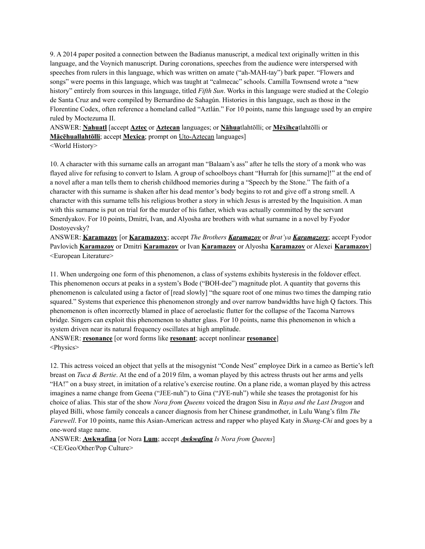9. A 2014 paper posited a connection between the Badianus manuscript, a medical text originally written in this language, and the Voynich manuscript. During coronations, speeches from the audience were interspersed with speeches from rulers in this language, which was written on amate ("ah-MAH-tay") bark paper. "Flowers and songs" were poems in this language, which was taught at "calmecac" schools. Camilla Townsend wrote a "new history" entirely from sources in this language, titled *Fifth Sun*. Works in this language were studied at the Colegio de Santa Cruz and were compiled by Bernardino de Sahagún. Histories in this language, such as those in the Florentine Codex, often reference a homeland called "Aztlán." For 10 points, name this language used by an empire ruled by Moctezuma II.

ANSWER: **Nahuatl** [accept **Aztec** or **Aztecan** languages; or **Nāhua**tlahtōlli; or **Mēxihca**tlahtōlli or **Mācēhuallahtōlli**; accept **Mexica**; prompt on Uto-Aztecan languages]

<World History>

10. A character with this surname calls an arrogant man "Balaam's ass" after he tells the story of a monk who was flayed alive for refusing to convert to Islam. A group of schoolboys chant "Hurrah for [this surname]!" at the end of a novel after a man tells them to cherish childhood memories during a "Speech by the Stone." The faith of a character with this surname is shaken after his dead mentor's body begins to rot and give off a strong smell. A character with this surname tells his religious brother a story in which Jesus is arrested by the Inquisition. A man with this surname is put on trial for the murder of his father, which was actually committed by the servant Smerdyakov. For 10 points, Dmitri, Ivan, and Alyosha are brothers with what surname in a novel by Fyodor Dostoyevsky?

ANSWER: **Karamazov** [or **Karamazovy**; accept *The Brothers Karamazov* or *Brat'ya Karamazovy*; accept Fyodor Pavlovich **Karamazov** or Dmitri **Karamazov** or Ivan **Karamazov** or Alyosha **Karamazov** or Alexei **Karamazov**] <European Literature>

11. When undergoing one form of this phenomenon, a class of systems exhibits hysteresis in the foldover effect. This phenomenon occurs at peaks in a system's Bode ("BOH-dee") magnitude plot. A quantity that governs this phenomenon is calculated using a factor of [read slowly] "the square root of one minus two times the damping ratio squared." Systems that experience this phenomenon strongly and over narrow bandwidths have high Q factors. This phenomenon is often incorrectly blamed in place of aeroelastic flutter for the collapse of the Tacoma Narrows bridge. Singers can exploit this phenomenon to shatter glass. For 10 points, name this phenomenon in which a system driven near its natural frequency oscillates at high amplitude.

ANSWER: **resonance** [or word forms like **resonant**; accept nonlinear **resonance**] <Physics>

12. This actress voiced an object that yells at the misogynist "Conde Nest" employee Dirk in a cameo as Bertie's left breast on *Tuca & Bertie*. At the end of a 2019 film, a woman played by this actress thrusts out her arms and yells "HA!" on a busy street, in imitation of a relative's exercise routine. On a plane ride, a woman played by this actress imagines a name change from Geena ("JEE-nuh") to Gina ("JYE-nuh") while she teases the protagonist for his choice of alias. This star of the show *Nora from Queens* voiced the dragon Sisu in *Raya and the Last Dragon* and played Billi, whose family conceals a cancer diagnosis from her Chinese grandmother, in Lulu Wang's film *The Farewell*. For 10 points, name this Asian-American actress and rapper who played Katy in *Shang-Chi* and goes by a one-word stage name.

ANSWER: **Awkwafina** [or Nora **Lum**; accept *Awkwafina Is Nora from Queens*] <CE/Geo/Other/Pop Culture>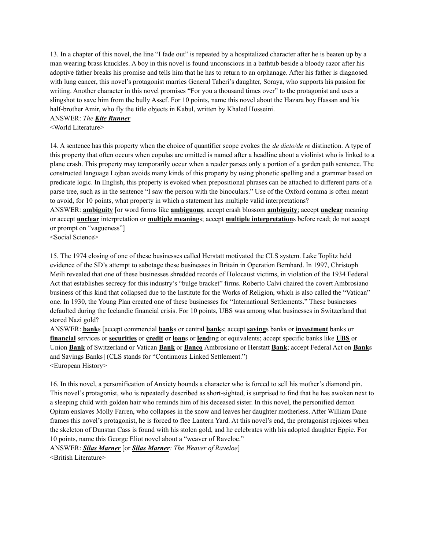13. In a chapter of this novel, the line "I fade out" is repeated by a hospitalized character after he is beaten up by a man wearing brass knuckles. A boy in this novel is found unconscious in a bathtub beside a bloody razor after his adoptive father breaks his promise and tells him that he has to return to an orphanage. After his father is diagnosed with lung cancer, this novel's protagonist marries General Taheri's daughter, Soraya, who supports his passion for writing. Another character in this novel promises "For you a thousand times over" to the protagonist and uses a slingshot to save him from the bully Assef. For 10 points, name this novel about the Hazara boy Hassan and his half-brother Amir, who fly the title objects in Kabul, written by Khaled Hosseini.

ANSWER: *The Kite Runner*

<World Literature>

14. A sentence has this property when the choice of quantifier scope evokes the *de dicto/de re* distinction. A type of this property that often occurs when copulas are omitted is named after a headline about a violinist who is linked to a plane crash. This property may temporarily occur when a reader parses only a portion of a garden path sentence. The constructed language Lojban avoids many kinds of this property by using phonetic spelling and a grammar based on predicate logic. In English, this property is evoked when prepositional phrases can be attached to different parts of a parse tree, such as in the sentence "I saw the person with the binoculars." Use of the Oxford comma is often meant to avoid, for 10 points, what property in which a statement has multiple valid interpretations?

ANSWER: **ambiguity** [or word forms like **ambiguous**; accept crash blossom **ambiguity**; accept **unclear** meaning or accept **unclear** interpretation or **multiple meaning**s; accept **multiple interpretation**s before read; do not accept or prompt on "vagueness"]

<Social Science>

15. The 1974 closing of one of these businesses called Herstatt motivated the CLS system. Lake Toplitz held evidence of the SD's attempt to sabotage these businesses in Britain in Operation Bernhard. In 1997, Christoph Meili revealed that one of these businesses shredded records of Holocaust victims, in violation of the 1934 Federal Act that establishes secrecy for this industry's "bulge bracket" firms. Roberto Calvi chaired the covert Ambrosiano business of this kind that collapsed due to the Institute for the Works of Religion, which is also called the "Vatican" one. In 1930, the Young Plan created one of these businesses for "International Settlements." These businesses defaulted during the Icelandic financial crisis. For 10 points, UBS was among what businesses in Switzerland that stored Nazi gold?

ANSWER: **bank**s [accept commercial **bank**s or central **bank**s; accept **saving**s banks or **investment** banks or **financial** services or **securities** or **credit** or **loan**s or **lend**ing or equivalents; accept specific banks like **UBS** or Union **Bank** of Switzerland or Vatican **Bank** or **Banco** Ambrosiano or Herstatt **Bank**; accept Federal Act on **Bank**s and Savings Banks] (CLS stands for "Continuous Linked Settlement.") <European History>

16. In this novel, a personification of Anxiety hounds a character who is forced to sell his mother's diamond pin. This novel's protagonist, who is repeatedly described as short-sighted, is surprised to find that he has awoken next to a sleeping child with golden hair who reminds him of his deceased sister. In this novel, the personified demon Opium enslaves Molly Farren, who collapses in the snow and leaves her daughter motherless. After William Dane frames this novel's protagonist, he is forced to flee Lantern Yard. At this novel's end, the protagonist rejoices when the skeleton of Dunstan Cass is found with his stolen gold, and he celebrates with his adopted daughter Eppie. For 10 points, name this George Eliot novel about a "weaver of Raveloe."

ANSWER: *Silas Marner* [or *Silas Marner: The Weaver of Raveloe*] <British Literature>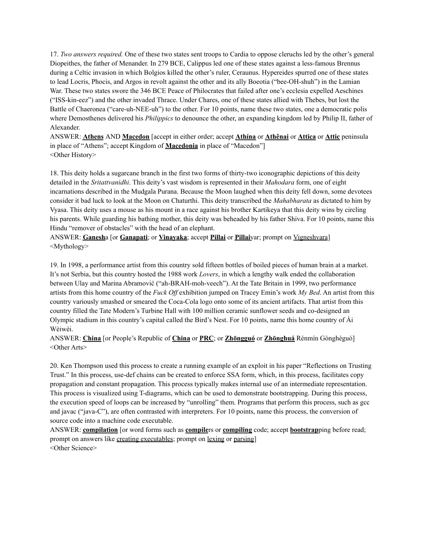17. *Two answers required.* One of these two states sent troops to Cardia to oppose cleruchs led by the other's general Diopeithes, the father of Menander. In 279 BCE, Calippus led one of these states against a less-famous Brennus during a Celtic invasion in which Bolgios killed the other's ruler, Ceraunus. Hypereides spurred one of these states to lead Locris, Phocis, and Argos in revolt against the other and its ally Boeotia ("bee-OH-shuh") in the Lamian War. These two states swore the 346 BCE Peace of Philocrates that failed after one's ecclesia expelled Aeschines ("ISS-kin-eez") and the other invaded Thrace. Under Chares, one of these states allied with Thebes, but lost the Battle of Chaeronea ("care-uh-NEE-uh") to the other. For 10 points, name these two states, one a democratic polis where Demosthenes delivered his *Philippics* to denounce the other, an expanding kingdom led by Philip II, father of Alexander.

ANSWER: **Athens** AND **Macedon** [accept in either order; accept **Athína** or **Athênai** or **Attica** or **Attic** peninsula in place of "Athens"; accept Kingdom of **Macedonia** in place of "Macedon"] <Other History>

18. This deity holds a sugarcane branch in the first two forms of thirty-two iconographic depictions of this deity detailed in the *Sritattvanidhi*. This deity's vast wisdom is represented in their *Mahodara* form, one of eight incarnations described in the Mudgala Purana. Because the Moon laughed when this deity fell down, some devotees consider it bad luck to look at the Moon on Chaturthi. This deity transcribed the *Mahabharata* as dictated to him by Vyasa. This deity uses a mouse as his mount in a race against his brother Kartikeya that this deity wins by circling his parents. While guarding his bathing mother, this deity was beheaded by his father Shiva. For 10 points, name this Hindu "remover of obstacles" with the head of an elephant.

ANSWER: **Ganesh**a [or **Ganapati**; or **Vinayaka**; accept **Pillai** or **Pillai**yar; prompt on Vigneshvara] <Mythology>

19. In 1998, a performance artist from this country sold fifteen bottles of boiled pieces of human brain at a market. It's not Serbia, but this country hosted the 1988 work *Lovers*, in which a lengthy walk ended the collaboration between Ulay and Marina Abramović ("ah-BRAH-moh-veech"). At the Tate Britain in 1999, two performance artists from this home country of the *Fuck Of* exhibition jumped on Tracey Emin's work *My Bed*. An artist from this country variously smashed or smeared the Coca-Cola logo onto some of its ancient artifacts. That artist from this country filled the Tate Modern's Turbine Hall with 100 million ceramic sunflower seeds and co-designed an Olympic stadium in this country's capital called the Bird's Nest. For 10 points, name this home country of Ài Wèiwèi.

ANSWER: **China** [or People's Republic of **China** or **PRC**; or **Zhōngguó** or **Zhōnghuá** Rénmín Gònghéguó] <Other Arts>

20. Ken Thompson used this process to create a running example of an exploit in his paper "Reflections on Trusting Trust." In this process, use-def chains can be created to enforce SSA form, which, in this process, facilitates copy propagation and constant propagation. This process typically makes internal use of an intermediate representation. This process is visualized using T-diagrams, which can be used to demonstrate bootstrapping. During this process, the execution speed of loops can be increased by "unrolling" them. Programs that perform this process, such as gcc and javac ("java-C"), are often contrasted with interpreters. For 10 points, name this process, the conversion of source code into a machine code executable.

ANSWER: **compilation** [or word forms such as **compile**rs or **compiling** code; accept **bootstrap**ping before read; prompt on answers like creating executables; prompt on lexing or parsing] <Other Science>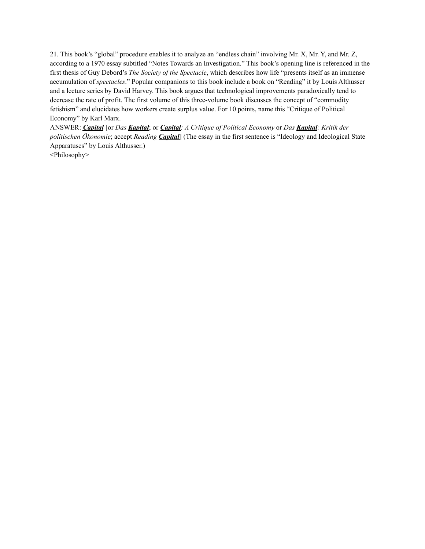21. This book's "global" procedure enables it to analyze an "endless chain" involving Mr. X, Mr. Y, and Mr. Z, according to a 1970 essay subtitled "Notes Towards an Investigation." This book's opening line is referenced in the first thesis of Guy Debord's *The Society of the Spectacle*, which describes how life "presents itself as an immense accumulation of *spectacles*." Popular companions to this book include a book on "Reading" it by Louis Althusser and a lecture series by David Harvey. This book argues that technological improvements paradoxically tend to decrease the rate of profit. The first volume of this three-volume book discusses the concept of "commodity fetishism" and elucidates how workers create surplus value. For 10 points, name this "Critique of Political Economy" by Karl Marx.

ANSWER: *Capital* [or *Das Kapital*; or *Capital: A Critique of Political Economy* or *Das Kapital: Kritik der politischen Ökonomie*; accept *Reading Capital*] (The essay in the first sentence is "Ideology and Ideological State Apparatuses" by Louis Althusser.)

<Philosophy>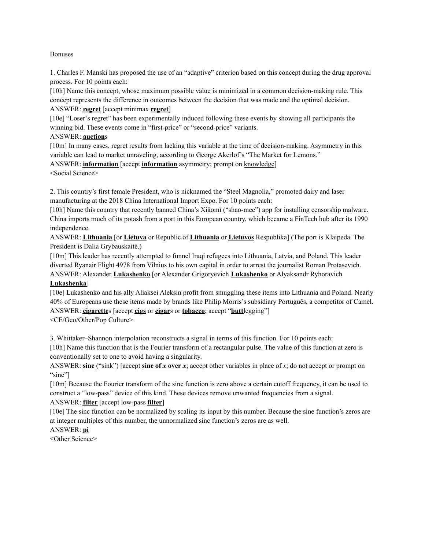#### Bonuses

1. Charles F. Manski has proposed the use of an "adaptive" criterion based on this concept during the drug approval process. For 10 points each:

[10h] Name this concept, whose maximum possible value is minimized in a common decision-making rule. This concept represents the difference in outcomes between the decision that was made and the optimal decision. ANSWER: **regret** [accept minimax **regret**]

[10e] "Loser's regret" has been experimentally induced following these events by showing all participants the winning bid. These events come in "first-price" or "second-price" variants.

ANSWER: **auction**s

[10m] In many cases, regret results from lacking this variable at the time of decision-making. Asymmetry in this variable can lead to market unraveling, according to George Akerlof's "The Market for Lemons."

ANSWER: **information** [accept **information** asymmetry; prompt on knowledge]

<Social Science>

2. This country's first female President, who is nicknamed the "Steel Magnolia," promoted dairy and laser manufacturing at the 2018 China International Import Expo. For 10 points each:

[10h] Name this country that recently banned China's Xiǎomǐ ("shao-mee") app for installing censorship malware. China imports much of its potash from a port in this European country, which became a FinTech hub after its 1990 independence.

ANSWER: **Lithuania** [or **Lietuva** or Republic of **Lithuania** or **Lietuvos** Respublika] (The port is Klaipeda. The President is Dalia Grybauskaitė.)

[10m] This leader has recently attempted to funnel Iraqi refugees into Lithuania, Latvia, and Poland. This leader diverted Ryanair Flight 4978 from Vilnius to his own capital in order to arrest the journalist Roman Protasevich.

ANSWER: Alexander **Lukashenko** [or Alexander Grigoryevich **Lukashenko** or Alyaksandr Ryhoravich **Lukashenka**]

[10e] Lukashenko and his ally Aliaksei Aleksin profit from smuggling these items into Lithuania and Poland. Nearly 40% of Europeans use these items made by brands like Philip Morris's subsidiary Português, a competitor of Camel. ANSWER: **cigarette**s [accept **cigs** or **cigar**s or **tobacco**; accept "**butt**legging"] <CE/Geo/Other/Pop Culture>

3. Whittaker–Shannon interpolation reconstructs a signal in terms of this function. For 10 points each:

[10h] Name this function that is the Fourier transform of a rectangular pulse. The value of this function at zero is conventionally set to one to avoid having a singularity.

ANSWER: **sinc** ("sink") [accept **sine of** *x* **over** *x*; accept other variables in place of *x*; do not accept or prompt on "sine"]

[10m] Because the Fourier transform of the sinc function is zero above a certain cutoff frequency, it can be used to construct a "low-pass" device of this kind. These devices remove unwanted frequencies from a signal. ANSWER: **filter** [accept low-pass **filter**]

[10e] The sinc function can be normalized by scaling its input by this number. Because the sine function's zeros are at integer multiples of this number, the unnormalized sinc function's zeros are as well.

## ANSWER: **pi**

<Other Science>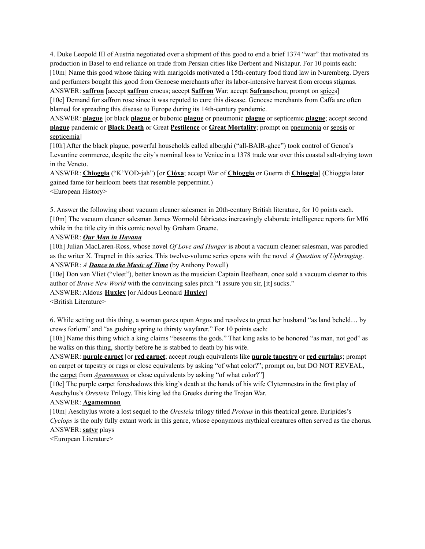4. Duke Leopold III of Austria negotiated over a shipment of this good to end a brief 1374 "war" that motivated its production in Basel to end reliance on trade from Persian cities like Derbent and Nishapur. For 10 points each: [10m] Name this good whose faking with marigolds motivated a 15th-century food fraud law in Nuremberg. Dyers and perfumers bought this good from Genoese merchants after its labor-intensive harvest from crocus stigmas.

ANSWER: **saffron** [accept **saffron** crocus; accept **Saffron** War; accept **Safran**schou; prompt on spices] [10e] Demand for saffron rose since it was reputed to cure this disease. Genoese merchants from Caffa are often blamed for spreading this disease to Europe during its 14th-century pandemic.

ANSWER: **plague** [or black **plague** or bubonic **plague** or pneumonic **plague** or septicemic **plague**; accept second **plague** pandemic or **Black Death** or Great **Pestilence** or **Great Mortality**; prompt on pneumonia or sepsis or septicemia]

[10h] After the black plague, powerful households called alberghi ("all-BAIR-ghee") took control of Genoa's Levantine commerce, despite the city's nominal loss to Venice in a 1378 trade war over this coastal salt-drying town in the Veneto.

ANSWER: **Chioggia** ("K'YOD-jah") [or **Cióxa**; accept War of **Chioggia** or Guerra di **Chioggia**] (Chioggia later gained fame for heirloom beets that resemble peppermint.) <European History>

5. Answer the following about vacuum cleaner salesmen in 20th-century British literature, for 10 points each. [10m] The vacuum cleaner salesman James Wormold fabricates increasingly elaborate intelligence reports for MI6 while in the title city in this comic novel by Graham Greene.

#### ANSWER: *Our Man in Havana*

[10h] Julian MacLaren-Ross, whose novel *Of Love and Hunger* is about a vacuum cleaner salesman, was parodied as the writer X. Trapnel in this series. This twelve-volume series opens with the novel *A Question of Upbringing*. ANSWER: *A Dance to the Music of Time* (by Anthony Powell)

[10e] Don van Vliet ("vleet"), better known as the musician Captain Beefheart, once sold a vacuum cleaner to this author of *Brave New World* with the convincing sales pitch "I assure you sir, [it] sucks."

ANSWER: Aldous **Huxley** [or Aldous Leonard **Huxley**]

<British Literature>

6. While setting out this thing, a woman gazes upon Argos and resolves to greet her husband "as land beheld… by crews forlorn" and "as gushing spring to thirsty wayfarer." For 10 points each:

[10h] Name this thing which a king claims "beseems the gods." That king asks to be honored "as man, not god" as he walks on this thing, shortly before he is stabbed to death by his wife.

ANSWER: **purple carpet** [or **red carpet**; accept rough equivalents like **purple tapestry** or **red curtain**s; prompt on carpet or tapestry or rugs or close equivalents by asking "of what color?"; prompt on, but DO NOT REVEAL, the carpet from *Agamemnon* or close equivalents by asking "of what color?"]

[10e] The purple carpet foreshadows this king's death at the hands of his wife Clytemnestra in the first play of Aeschylus's *Oresteia* Trilogy. This king led the Greeks during the Trojan War.

## ANSWER: **Agamemnon**

[10m] Aeschylus wrote a lost sequel to the *Oresteia* trilogy titled *Proteus* in this theatrical genre. Euripides's *Cyclops* is the only fully extant work in this genre, whose eponymous mythical creatures often served as the chorus. ANSWER: **satyr** plays

<European Literature>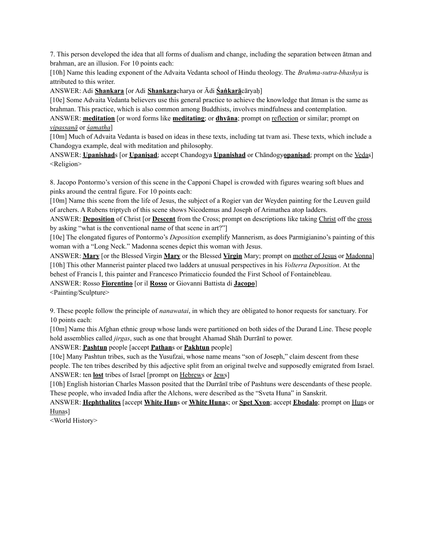7. This person developed the idea that all forms of dualism and change, including the separation between ātman and brahman, are an illusion. For 10 points each:

[10h] Name this leading exponent of the Advaita Vedanta school of Hindu theology. The *Brahma-sutra-bhashya* is attributed to this writer.

ANSWER: Adi **Shankara** [or Adi **Shankara**charya or Ādi **Śaṅkarā**cāryaḥ]

[10e] Some Advaita Vedanta believers use this general practice to achieve the knowledge that ātman is the same as brahman. This practice, which is also common among Buddhists, involves mindfulness and contemplation.

ANSWER: **meditation** [or word forms like **meditating**; or **dhyana**; prompt on reflection or similar; prompt on *vipassanā* or *śamatha*]

[10m] Much of Advaita Vedanta is based on ideas in these texts, including tat tvam asi. These texts, which include a Chandogya example, deal with meditation and philosophy.

ANSWER: **Upanishad**s [or **Upaniṣad**; accept Chandogya **Upanishad** or Chāndogy**opaniṣad**; prompt on the Vedas] <Religion>

8. Jacopo Pontormo's version of this scene in the Capponi Chapel is crowded with figures wearing soft blues and pinks around the central figure. For 10 points each:

[10m] Name this scene from the life of Jesus, the subject of a Rogier van der Weyden painting for the Leuven guild of archers. A Rubens triptych of this scene shows Nicodemus and Joseph of Arimathea atop ladders.

ANSWER: **Deposition** of Christ [or **Descent** from the Cross; prompt on descriptions like taking Christ off the cross by asking "what is the conventional name of that scene in art?"]

[10e] The elongated figures of Pontormo's *Deposition* exemplify Mannerism, as does Parmigianino's painting of this woman with a "Long Neck." Madonna scenes depict this woman with Jesus.

ANSWER: **Mary** [or the Blessed Virgin **Mary** or the Blessed **Virgin** Mary; prompt on mother of Jesus or Madonna] [10h] This other Mannerist painter placed two ladders at unusual perspectives in his *Volterra Deposition*. At the behest of Francis I, this painter and Francesco Primaticcio founded the First School of Fontainebleau.

ANSWER: Rosso **Fiorentino** [or il **Rosso** or Giovanni Battista di **Jacopo**]

<Painting/Sculpture>

9. These people follow the principle of *nanawatai*, in which they are obligated to honor requests for sanctuary. For 10 points each:

[10m] Name this Afghan ethnic group whose lands were partitioned on both sides of the Durand Line. These people hold assemblies called *jirgas*, such as one that brought Ahamad Shāh Durrānī to power.

ANSWER: **Pashtun** people [accept **Pathan**s or **Pakhtun** people]

[10e] Many Pashtun tribes, such as the Yusufzai, whose name means "son of Joseph," claim descent from these people. The ten tribes described by this adjective split from an original twelve and supposedly emigrated from Israel. ANSWER: ten **lost** tribes of Israel [prompt on Hebrews or Jews]

[10h] English historian Charles Masson posited that the Durrānī tribe of Pashtuns were descendants of these people. These people, who invaded India after the Alchons, were described as the "Sveta Huna" in Sanskrit.

ANSWER: **Hephthalites** [accept **White Hun**s or **White Huna**s; or **Spet Xyon**; accept **Ebodalo**; prompt on Huns or Hunas]

<World History>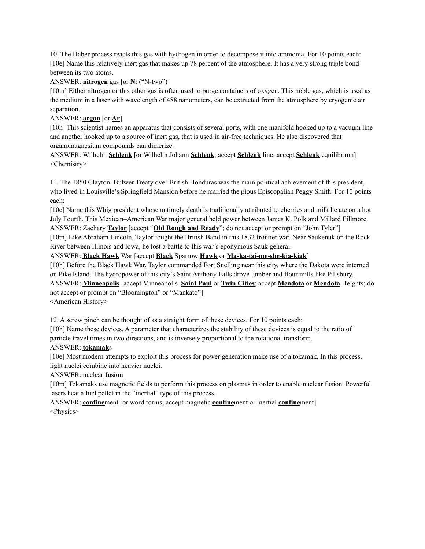10. The Haber process reacts this gas with hydrogen in order to decompose it into ammonia. For 10 points each: [10e] Name this relatively inert gas that makes up 78 percent of the atmosphere. It has a very strong triple bond between its two atoms.

## ANSWER: **nitrogen** gas [or **N**₂ ("N-two")]

[10m] Either nitrogen or this other gas is often used to purge containers of oxygen. This noble gas, which is used as the medium in a laser with wavelength of 488 nanometers, can be extracted from the atmosphere by cryogenic air separation.

## ANSWER: **argon** [or **Ar**]

[10h] This scientist names an apparatus that consists of several ports, with one manifold hooked up to a vacuum line and another hooked up to a source of inert gas, that is used in air-free techniques. He also discovered that organomagnesium compounds can dimerize.

ANSWER: Wilhelm **Schlenk** [or Wilhelm Johann **Schlenk**; accept **Schlenk** line; accept **Schlenk** equilibrium] <Chemistry>

11. The 1850 Clayton–Bulwer Treaty over British Honduras was the main political achievement of this president, who lived in Louisville's Springfield Mansion before he married the pious Episcopalian Peggy Smith. For 10 points each:

[10e] Name this Whig president whose untimely death is traditionally attributed to cherries and milk he ate on a hot July Fourth. This Mexican–American War major general held power between James K. Polk and Millard Fillmore. ANSWER: Zachary **Taylor** [accept "**Old Rough and Ready**"; do not accept or prompt on "John Tyler"]

[10m] Like Abraham Lincoln, Taylor fought the British Band in this 1832 frontier war. Near Saukenuk on the Rock River between Illinois and Iowa, he lost a battle to this war's eponymous Sauk general.

#### ANSWER: **Black Hawk** War [accept **Black** Sparrow **Hawk** or **Ma-ka-tai-me-she-kia-kiak**]

[10h] Before the Black Hawk War, Taylor commanded Fort Snelling near this city, where the Dakota were interned on Pike Island. The hydropower of this city's Saint Anthony Falls drove lumber and flour mills like Pillsbury. ANSWER: **Minneapolis** [accept Minneapolis–**Saint Paul** or **Twin Cities**; accept **Mendota** or **Mendota** Heights; do not accept or prompt on "Bloomington" or "Mankato"]

<American History>

12. A screw pinch can be thought of as a straight form of these devices. For 10 points each:

[10h] Name these devices. A parameter that characterizes the stability of these devices is equal to the ratio of particle travel times in two directions, and is inversely proportional to the rotational transform.

## ANSWER: **tokamak**s

[10e] Most modern attempts to exploit this process for power generation make use of a tokamak. In this process, light nuclei combine into heavier nuclei.

## ANSWER: nuclear **fusion**

[10m] Tokamaks use magnetic fields to perform this process on plasmas in order to enable nuclear fusion. Powerful lasers heat a fuel pellet in the "inertial" type of this process.

ANSWER: **confine**ment [or word forms; accept magnetic **confine**ment or inertial **confine**ment] <Physics>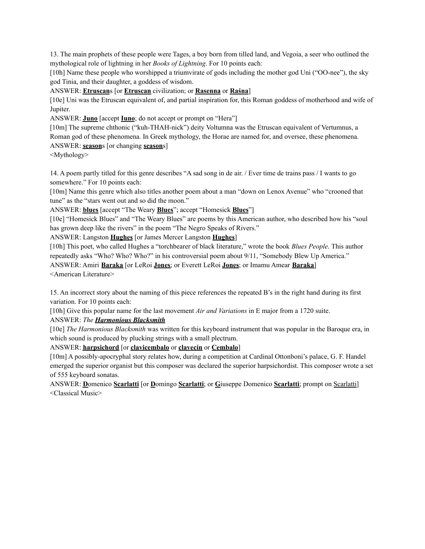13. The main prophets of these people were Tages, a boy born from tilled land, and Vegoia, a seer who outlined the mythological role of lightning in her *Books of Lightning*. For 10 points each:

[10h] Name these people who worshipped a triumvirate of gods including the mother god Uni ("OO-nee"), the sky god Tinia, and their daughter, a goddess of wisdom.

ANSWER: **Etruscan**s [or **Etruscan** civilization; or **Rasenna** or **Raśna**]

[10e] Uni was the Etruscan equivalent of, and partial inspiration for, this Roman goddess of motherhood and wife of Jupiter.

ANSWER: **Juno** [accept **Iuno**; do not accept or prompt on "Hera"]

[10m] The supreme chthonic ("kuh-THAH-nick") deity Voltumna was the Etruscan equivalent of Vertumnus, a Roman god of these phenomena. In Greek mythology, the Horae are named for, and oversee, these phenomena.

# ANSWER: **season**s [or changing **season**s]

<Mythology>

14. A poem partly titled for this genre describes "A sad song in de air. / Ever time de trains pass / I wants to go somewhere." For 10 points each:

[10m] Name this genre which also titles another poem about a man "down on Lenox Avenue" who "crooned that tune" as the "stars went out and so did the moon."

ANSWER: **blues** [accept "The Weary **Blues**"; accept "Homesick **Blues**"]

[10e] "Homesick Blues" and "The Weary Blues" are poems by this American author, who described how his "soul has grown deep like the rivers" in the poem "The Negro Speaks of Rivers."

ANSWER: Langston **Hughes** [or James Mercer Langston **Hughes**]

[10h] This poet, who called Hughes a "torchbearer of black literature," wrote the book *Blues People*. This author repeatedly asks "Who? Who? Who?" in his controversial poem about 9/11, "Somebody Blew Up America." ANSWER: Amiri **Baraka** [or LeRoi **Jones**; or Everett LeRoi **Jones**; or Imamu Amear **Baraka**] <American Literature>

15. An incorrect story about the naming of this piece references the repeated B's in the right hand during its first variation. For 10 points each:

[10h] Give this popular name for the last movement *Air and Variations* in E major from a 1720 suite.

ANSWER: *The Harmonious Blacksmith*

[10e] *The Harmonious Blacksmith* was written for this keyboard instrument that was popular in the Baroque era, in which sound is produced by plucking strings with a small plectrum.

# ANSWER: **harpsichord** [or **clavicembalo** or **clavecín** or **Cembalo**]

[10m] A possibly-apocryphal story relates how, during a competition at Cardinal Ottonboni's palace, G. F. Handel emerged the superior organist but this composer was declared the superior harpsichordist. This composer wrote a set of 555 keyboard sonatas.

ANSWER: **D**omenico **Scarlatti** [or **D**omingo **Scarlatti**; or **G**iuseppe Domenico **Scarlatti**; prompt on Scarlatti] <Classical Music>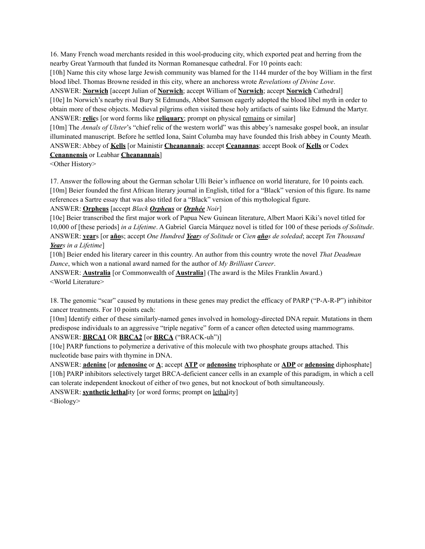16. Many French woad merchants resided in this wool-producing city, which exported peat and herring from the nearby Great Yarmouth that funded its Norman Romanesque cathedral. For 10 points each:

[10h] Name this city whose large Jewish community was blamed for the 1144 murder of the boy William in the first blood libel. Thomas Browne resided in this city, where an anchoress wrote *Revelations of Divine Love*.

ANSWER: **Norwich** [accept Julian of **Norwich**; accept William of **Norwich**; accept **Norwich** Cathedral] [10e] In Norwich's nearby rival Bury St Edmunds, Abbot Samson eagerly adopted the blood libel myth in order to obtain more of these objects. Medieval pilgrims often visited these holy artifacts of saints like Edmund the Martyr. ANSWER: **relic**s [or word forms like **reliquary**; prompt on physical remains or similar]

[10m] The *Annals of Ulster*'s "chief relic of the western world" was this abbey's namesake gospel book, an insular illuminated manuscript. Before he settled Iona, Saint Columba may have founded this Irish abbey in County Meath. ANSWER: Abbey of **Kells** [or Mainistir **Cheanannais**; accept **Ceanannas**; accept Book of **Kells** or Codex **Cenannensis** or Leabhar **Cheanannais**]

<Other History>

17. Answer the following about the German scholar Ulli Beier's influence on world literature, for 10 points each. [10m] Beier founded the first African literary journal in English, titled for a "Black" version of this figure. Its name references a Sartre essay that was also titled for a "Black" version of this mythological figure.

#### ANSWER: **Orpheus** [accept *Black Orpheus* or *Orphée Noir*]

[10e] Beier transcribed the first major work of Papua New Guinean literature, Albert Maori Kiki's novel titled for 10,000 of [these periods] *in a Lifetime*. A Gabriel García Márquez novel is titled for 100 of these periods *of Solitude*. ANSWER: **year**s [or **año**s; accept *One Hundred Years of Solitude* or *Cien años de soledad*; accept *Ten Thousand Years in a Lifetime*]

[10h] Beier ended his literary career in this country. An author from this country wrote the novel *That Deadman Dance*, which won a national award named for the author of *My Brilliant Career*.

ANSWER: **Australia** [or Commonwealth of **Australia**] (The award is the Miles Franklin Award.) <World Literature>

18. The genomic "scar" caused by mutations in these genes may predict the efficacy of PARP ("P-A-R-P") inhibitor cancer treatments. For 10 points each:

[10m] Identify either of these similarly-named genes involved in homology-directed DNA repair. Mutations in them predispose individuals to an aggressive "triple negative" form of a cancer often detected using mammograms.

## ANSWER: **BRCA1** OR **BRCA2** [or **BRCA** ("BRACK-uh")]

[10e] PARP functions to polymerize a derivative of this molecule with two phosphate groups attached. This nucleotide base pairs with thymine in DNA.

ANSWER: **adenine** [or **adenosine** or **A**; accept **ATP** or **adenosine** triphosphate or **ADP** or **adenosine** diphosphate] [10h] PARP inhibitors selectively target BRCA-deficient cancer cells in an example of this paradigm, in which a cell can tolerate independent knockout of either of two genes, but not knockout of both simultaneously.

ANSWER: **synthetic lethal**ity [or word forms; prompt on lethality]

<Biology>